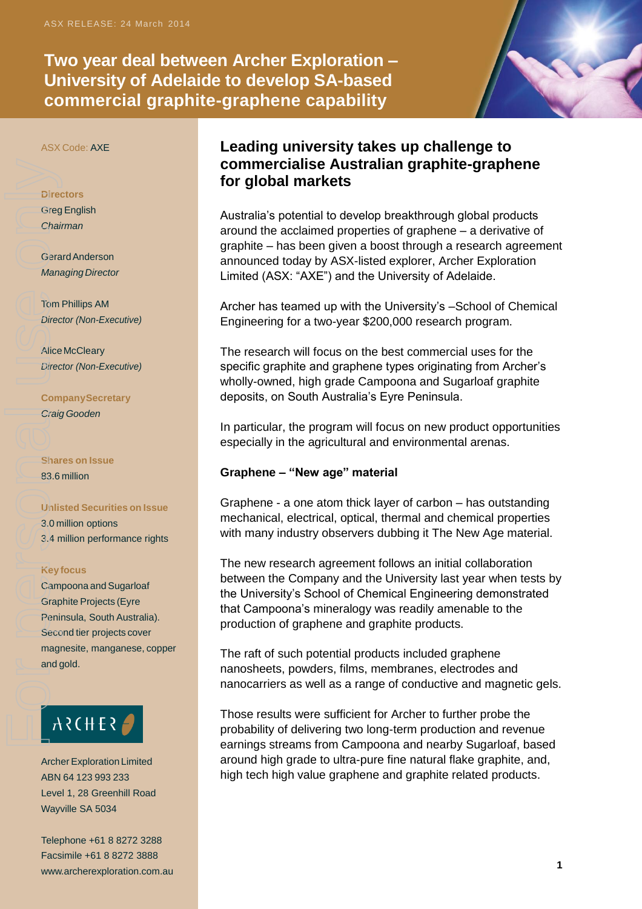**Two year deal between Archer Exploration – University of Adelaide to develop SA-based commercial graphite-graphene capability** 



ASX Code: AXE

#### **Directors**

**Greg English** *Chairman*

GerardAnderson **Managing Director** 

Tom Phillips AM *Director (Non-Executive)*

Alice McCleary *Director (Non-Executive)*

**CompanySecretary** *Craig Gooden*

**Shares on Issue** 83.6 million

#### **Unlisted Securities on Issue**

3.0 million options 3.4 million performance rights

#### **Keyfocus**

Campoona and Sugarloaf Graphite Projects (Eyre Peninsula, South Australia). Second tier projects cover magnesite, manganese, copper and gold. Director Chail<br>Greg Chail<br>Gera<br>Mank<br>Director Com<br>Craig Director Com<br>Craig Dinlis<br>3.0 Com<br>Star B3.6<br>(Unlis<br>3.0 Com<br>Star B3.6<br>(Unlis<br>San Graig Dinlis<br>San Graig Dinlis<br>San Graig Dinlis<br>San Graig Dinlis<br>San Graig Dinlis<br>San Gr

# ARCHER

**Archer Exploration Limited** ABN 64 123 993 233 Level 1, 28 Greenhill Road Wayville SA 5034

Telephone +61 8 8272 3288 Facsimile +61 8 8272 3888 www.archerexploration.com.au **1** 

## **Leading university takes up challenge to commercialise Australian graphite-graphene for global markets**

Australia's potential to develop breakthrough global products around the acclaimed properties of graphene – a derivative of graphite – has been given a boost through a research agreement announced today by ASX-listed explorer, Archer Exploration Limited (ASX: "AXE") and the University of Adelaide.

Archer has teamed up with the University's –School of Chemical Engineering for a two-year \$200,000 research program.

The research will focus on the best commercial uses for the specific graphite and graphene types originating from Archer's wholly-owned, high grade Campoona and Sugarloaf graphite deposits, on South Australia's Eyre Peninsula.

In particular, the program will focus on new product opportunities especially in the agricultural and environmental arenas.

#### **Graphene – "New age" material**

Graphene - a one atom thick layer of carbon – has outstanding mechanical, electrical, optical, thermal and chemical properties with many industry observers dubbing it The New Age material.

The new research agreement follows an initial collaboration between the Company and the University last year when tests by the University's School of Chemical Engineering demonstrated that Campoona's mineralogy was readily amenable to the production of graphene and graphite products.

The raft of such potential products included graphene nanosheets, powders, films, membranes, electrodes and nanocarriers as well as a range of conductive and magnetic gels.

Those results were sufficient for Archer to further probe the probability of delivering two long-term production and revenue earnings streams from Campoona and nearby Sugarloaf, based around high grade to ultra-pure fine natural flake graphite, and, high tech high value graphene and graphite related products.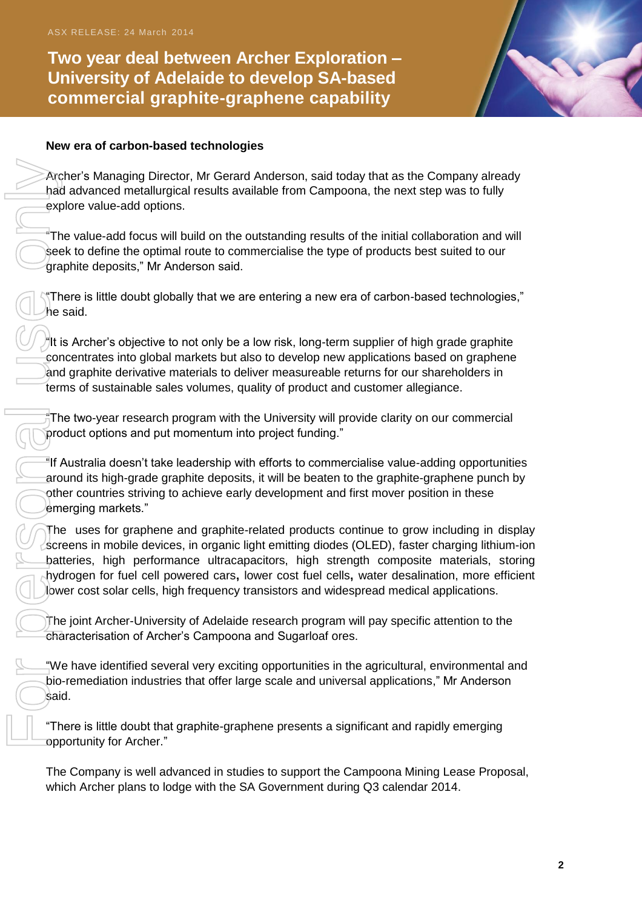**Two year deal between Archer Exploration – University of Adelaide to develop SA-based commercial graphite-graphene capability** 



#### **New era of carbon-based technologies**

Archer's Managing Director, Mr Gerard Anderson, said today that as the Company already had advanced metallurgical results available from Campoona, the next step was to fully explore value-add options.

"The value-add focus will build on the outstanding results of the initial collaboration and will seek to define the optimal route to commercialise the type of products best suited to our graphite deposits," Mr Anderson said.

"There is little doubt globally that we are entering a new era of carbon-based technologies," he said.

"It is Archer's objective to not only be a low risk, long-term supplier of high grade graphite concentrates into global markets but also to develop new applications based on graphene and graphite derivative materials to deliver measureable returns for our shareholders in terms of sustainable sales volumes, quality of product and customer allegiance.

"The two-year research program with the University will provide clarity on our commercial product options and put momentum into project funding."

"If Australia doesn't take leadership with efforts to commercialise value-adding opportunities around its high-grade graphite deposits, it will be beaten to the graphite-graphene punch by other countries striving to achieve early development and first mover position in these emerging markets."

The uses for graphene and graphite-related products continue to grow including in display screens in mobile devices, in organic light emitting diodes (OLED), faster charging lithium-ion batteries, high performance ultracapacitors, high strength composite materials, storing hydrogen for fuel cell powered cars**,** lower cost fuel cells**,** water desalination, more efficient lower cost solar cells, high frequency transistors and widespread medical applications.

The joint Archer-University of Adelaide research program will pay specific attention to the characterisation of Archer's Campoona and Sugarloaf ores.

"We have identified several very exciting opportunities in the agricultural, environmental and bio-remediation industries that offer large scale and universal applications," Mr Anderson said.

"There is little doubt that graphite-graphene presents a significant and rapidly emerging opportunity for Archer."

The Company is well advanced in studies to support the Campoona Mining Lease Proposal, which Archer plans to lodge with the SA Government during Q3 calendar 2014.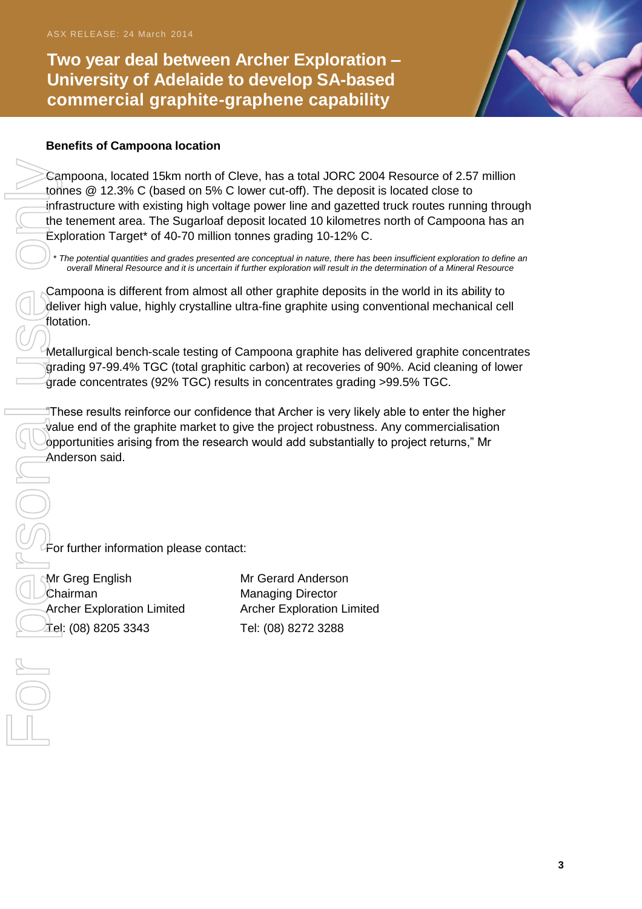**Two year deal between Archer Exploration – University of Adelaide to develop SA-based commercial graphite-graphene capability** 



### **Benefits of Campoona location**

Campoona, located 15km north of Cleve, has a total JORC 2004 Resource of 2.57 million tonnes @ 12.3% C (based on 5% C lower cut-off). The deposit is located close to infrastructure with existing high voltage power line and gazetted truck routes running through the tenement area. The Sugarloaf deposit located 10 kilometres north of Campoona has an Exploration Target\* of 40-70 million tonnes grading 10-12% C.

\* *The potential quantities and grades presented are conceptual in nature, there has been insufficient exploration to define an overall Mineral Resource and it is uncertain if further exploration will result in the determination of a Mineral Resource*

Campoona is different from almost all other graphite deposits in the world in its ability to deliver high value, highly crystalline ultra-fine graphite using conventional mechanical cell flotation.

Metallurgical bench-scale testing of Campoona graphite has delivered graphite concentrates grading 97-99.4% TGC (total graphitic carbon) at recoveries of 90%. Acid cleaning of lower grade concentrates (92% TGC) results in concentrates grading >99.5% TGC.

"These results reinforce our confidence that Archer is very likely able to enter the higher value end of the graphite market to give the project robustness. Any commercialisation opportunities arising from the research would add substantially to project returns," Mr Anderson said.

For further information please contact:

Mr Greg English Mr Gerard Anderson Chairman **Managing Director** Tel: (08) 8205 3343 Tel: (08) 8272 3288

Archer Exploration Limited Archer Exploration Limited